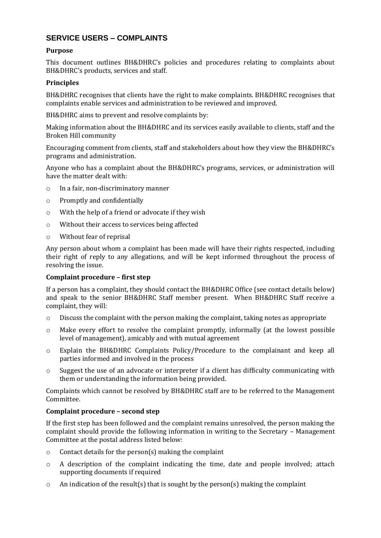# **SERVICE USERS – COMPLAINTS**

# **Purpose**

This document outlines BH&DHRC's policies and procedures relating to complaints about BH&DHRC's products, services and staff.

# **Principles**

BH&DHRC recognises that clients have the right to make complaints. BH&DHRC recognises that complaints enable services and administration to be reviewed and improved.

BH&DHRC aims to prevent and resolve complaints by:

Making information about the BH&DHRC and its services easily available to clients, staff and the Broken Hill community

Encouraging comment from clients, staff and stakeholders about how they view the BH&DHRC's programs and administration.

Anyone who has a complaint about the BH&DHRC's programs, services, or administration will have the matter dealt with:

- o In a fair, non-discriminatory manner
- o Promptly and confidentially
- o With the help of a friend or advocate if they wish
- o Without their access to services being affected
- o Without fear of reprisal

Any person about whom a complaint has been made will have their rights respected, including their right of reply to any allegations, and will be kept informed throughout the process of resolving the issue.

## **Complaint procedure – first step**

If a person has a complaint, they should contact the BH&DHRC Office (see contact details below) and speak to the senior BH&DHRC Staff member present. When BH&DHRC Staff receive a complaint, they will:

- $\circ$  Discuss the complaint with the person making the complaint, taking notes as appropriate
- o Make every effort to resolve the complaint promptly, informally (at the lowest possible level of management), amicably and with mutual agreement
- o Explain the BH&DHRC Complaints Policy/Procedure to the complainant and keep all parties informed and involved in the process
- $\circ$  Suggest the use of an advocate or interpreter if a client has difficulty communicating with them or understanding the information being provided.

Complaints which cannot be resolved by BH&DHRC staff are to be referred to the Management Committee.

## **Complaint procedure – second step**

If the first step has been followed and the complaint remains unresolved, the person making the complaint should provide the following information in writing to the Secretary – Management Committee at the postal address listed below:

- o Contact details for the person(s) making the complaint
- $\circ$  A description of the complaint indicating the time, date and people involved; attach supporting documents if required
- $\circ$  An indication of the result(s) that is sought by the person(s) making the complaint